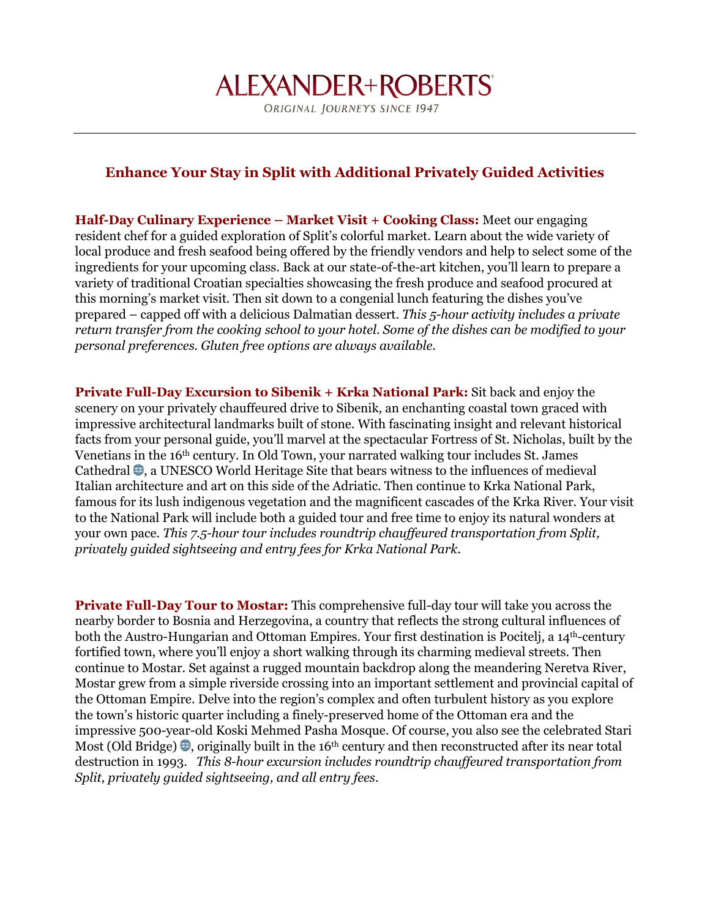## **ALEXANDER+ROBERTS®**

ORIGINAL JOURNEYS SINCE 1947

## **Enhance Your Stay in Split with Additional Privately Guided Activities**

**Half-Day Culinary Experience – Market Visit + Cooking Class:** Meet our engaging resident chef for a guided exploration of Split's colorful market. Learn about the wide variety of local produce and fresh seafood being offered by the friendly vendors and help to select some of the ingredients for your upcoming class. Back at our state-of-the-art kitchen, you'll learn to prepare a variety of traditional Croatian specialties showcasing the fresh produce and seafood procured at this morning's market visit. Then sit down to a congenial lunch featuring the dishes you've prepared – capped off with a delicious Dalmatian dessert. *This 5-hour activity includes a private return transfer from the cooking school to your hotel. Some of the dishes can be modified to your personal preferences. Gluten free options are always available*.

**Private Full-Day Excursion to Sibenik + Krka National Park:** Sit back and enjoy the scenery on your privately chauffeured drive to Sibenik, an enchanting coastal town graced with impressive architectural landmarks built of stone. With fascinating insight and relevant historical facts from your personal guide, you'll marvel at the spectacular Fortress of St. Nicholas, built by the Venetians in the 16th century. In Old Town, your narrated walking tour includes St. James Cathedral  $\oplus$ , a UNESCO World Heritage Site that bears witness to the influences of medieval Italian architecture and art on this side of the Adriatic. Then continue to Krka National Park, famous for its lush indigenous vegetation and the magnificent cascades of the Krka River. Your visit to the National Park will include both a guided tour and free time to enjoy its natural wonders at your own pace. *This 7.5-hour tour includes roundtrip chauffeured transportation from Split, privately guided sightseeing and entry fees for Krka National Park.*

**Private Full-Day Tour to Mostar:** This comprehensive full-day tour will take you across the nearby border to Bosnia and Herzegovina, a country that reflects the strong cultural influences of both the Austro-Hungarian and Ottoman Empires. Your first destination is Pocitelj, a 14<sup>th</sup>-century fortified town, where you'll enjoy a short walking through its charming medieval streets. Then continue to Mostar. Set against a rugged mountain backdrop along the meandering Neretva River, Mostar grew from a simple riverside crossing into an important settlement and provincial capital of the Ottoman Empire. Delve into the region's complex and often turbulent history as you explore the town's historic quarter including a finely-preserved home of the Ottoman era and the impressive 500-year-old Koski Mehmed Pasha Mosque. Of course, you also see the celebrated Stari Most (Old Bridge)  $\oplus$ , originally built in the 16<sup>th</sup> century and then reconstructed after its near total destruction in 1993. *This 8-hour excursion includes roundtrip chauffeured transportation from Split, privately guided sightseeing, and all entry fees.*